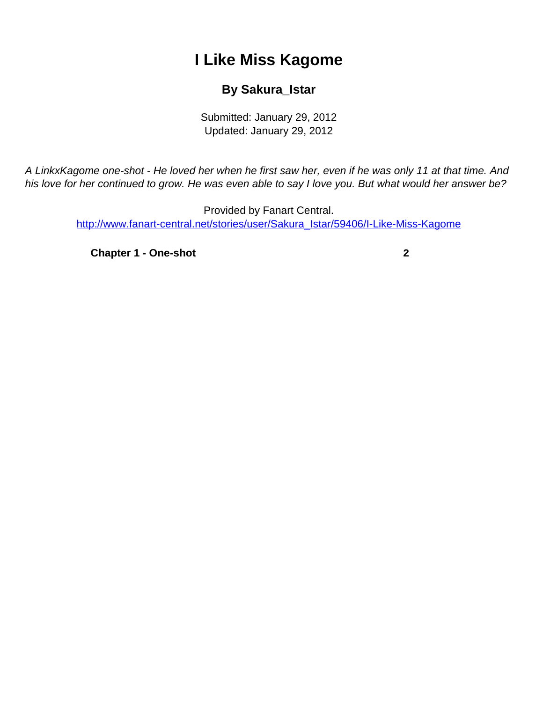## **I Like Miss Kagome**

## **By Sakura\_Istar**

Submitted: January 29, 2012 Updated: January 29, 2012

<span id="page-0-0"></span>A LinkxKagome one-shot - He loved her when he first saw her, even if he was only 11 at that time. And his love for her continued to grow. He was even able to say I love you. But what would her answer be?

> Provided by Fanart Central. [http://www.fanart-central.net/stories/user/Sakura\\_Istar/59406/I-Like-Miss-Kagome](#page-0-0)

**[Chapter 1 - One-shot](#page-1-0) [2](#page-1-0)**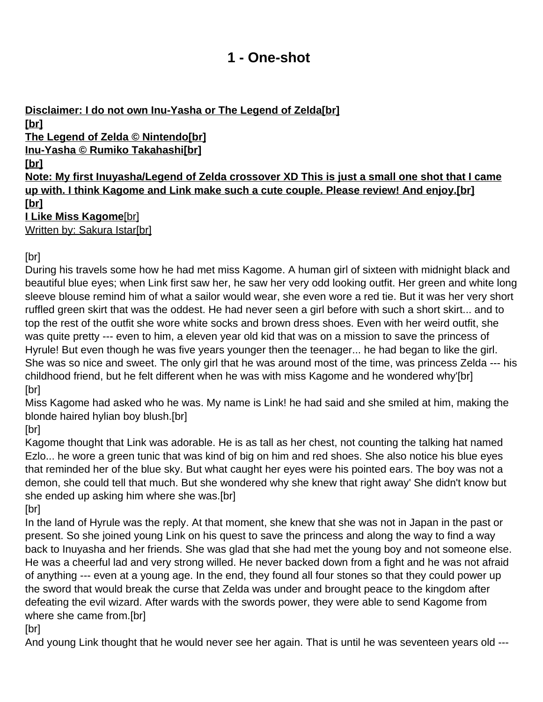## **1 - One-shot**

<span id="page-1-0"></span>**Disclaimer: I do not own Inu-Yasha or The Legend of Zelda[br] [br] The Legend of Zelda © Nintendo[br] Inu-Yasha © Rumiko Takahashi[br] [br] Note: My first Inuyasha/Legend of Zelda crossover XD This is just a small one shot that I came up with. I think Kagome and Link make such a cute couple. Please review! And enjoy.[br] [br] I Like Miss Kagome**[br]

Written by: Sakura Istar[br]

[br]

During his travels some how he had met miss Kagome. A human girl of sixteen with midnight black and beautiful blue eyes; when Link first saw her, he saw her very odd looking outfit. Her green and white long sleeve blouse remind him of what a sailor would wear, she even wore a red tie. But it was her very short ruffled green skirt that was the oddest. He had never seen a girl before with such a short skirt... and to top the rest of the outfit she wore white socks and brown dress shoes. Even with her weird outfit, she was quite pretty --- even to him, a eleven year old kid that was on a mission to save the princess of Hyrule! But even though he was five years younger then the teenager... he had began to like the girl. She was so nice and sweet. The only girl that he was around most of the time, was princess Zelda --- his childhood friend, but he felt different when he was with miss Kagome and he wondered why'[br] [br]

Miss Kagome had asked who he was. My name is Link! he had said and she smiled at him, making the blonde haired hylian boy blush.[br]

[br]

Kagome thought that Link was adorable. He is as tall as her chest, not counting the talking hat named Ezlo... he wore a green tunic that was kind of big on him and red shoes. She also notice his blue eyes that reminded her of the blue sky. But what caught her eyes were his pointed ears. The boy was not a demon, she could tell that much. But she wondered why she knew that right away' She didn't know but she ended up asking him where she was.[br]

[br]

In the land of Hyrule was the reply. At that moment, she knew that she was not in Japan in the past or present. So she joined young Link on his quest to save the princess and along the way to find a way back to Inuyasha and her friends. She was glad that she had met the young boy and not someone else. He was a cheerful lad and very strong willed. He never backed down from a fight and he was not afraid of anything --- even at a young age. In the end, they found all four stones so that they could power up the sword that would break the curse that Zelda was under and brought peace to the kingdom after defeating the evil wizard. After wards with the swords power, they were able to send Kagome from where she came from.[br]

[br]

And young Link thought that he would never see her again. That is until he was seventeen years old ---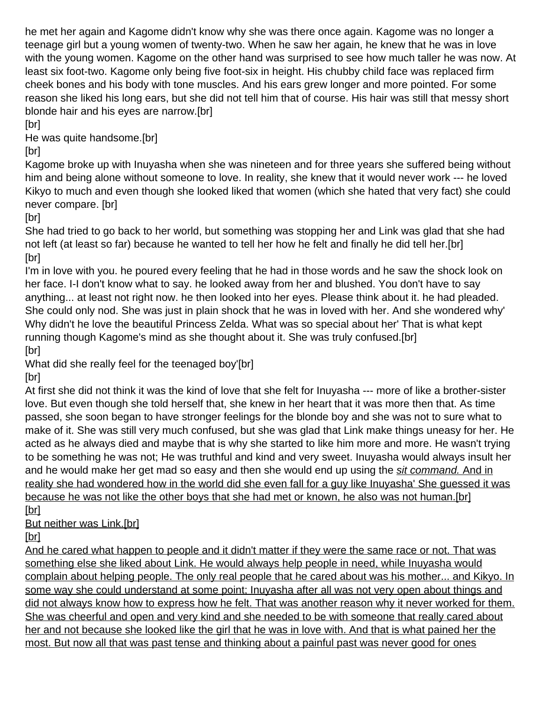he met her again and Kagome didn't know why she was there once again. Kagome was no longer a teenage girl but a young women of twenty-two. When he saw her again, he knew that he was in love with the young women. Kagome on the other hand was surprised to see how much taller he was now. At least six foot-two. Kagome only being five foot-six in height. His chubby child face was replaced firm cheek bones and his body with tone muscles. And his ears grew longer and more pointed. For some reason she liked his long ears, but she did not tell him that of course. His hair was still that messy short blonde hair and his eyes are narrow.[br]

[br]

He was quite handsome.[br]

[br]

Kagome broke up with Inuyasha when she was nineteen and for three years she suffered being without him and being alone without someone to love. In reality, she knew that it would never work --- he loved Kikyo to much and even though she looked liked that women (which she hated that very fact) she could never compare. [br]

[br]

She had tried to go back to her world, but something was stopping her and Link was glad that she had not left (at least so far) because he wanted to tell her how he felt and finally he did tell her.[br] [br]

I'm in love with you. he poured every feeling that he had in those words and he saw the shock look on her face. I-I don't know what to say. he looked away from her and blushed. You don't have to say anything... at least not right now. he then looked into her eyes. Please think about it. he had pleaded. She could only nod. She was just in plain shock that he was in loved with her. And she wondered why' Why didn't he love the beautiful Princess Zelda. What was so special about her' That is what kept running though Kagome's mind as she thought about it. She was truly confused.[br] [br]

What did she really feel for the teenaged boy'[br]

[br]

At first she did not think it was the kind of love that she felt for Inuyasha --- more of like a brother-sister love. But even though she told herself that, she knew in her heart that it was more then that. As time passed, she soon began to have stronger feelings for the blonde boy and she was not to sure what to make of it. She was still very much confused, but she was glad that Link make things uneasy for her. He acted as he always died and maybe that is why she started to like him more and more. He wasn't trying to be something he was not; He was truthful and kind and very sweet. Inuyasha would always insult her and he would make her get mad so easy and then she would end up using the sit command. And in reality she had wondered how in the world did she even fall for a guy like Inuyasha' She guessed it was because he was not like the other boys that she had met or known, he also was not human.[br] [br]

But neither was Link.[br]

[br]

And he cared what happen to people and it didn't matter if they were the same race or not. That was something else she liked about Link. He would always help people in need, while Inuyasha would complain about helping people. The only real people that he cared about was his mother... and Kikyo. In some way she could understand at some point; Inuyasha after all was not very open about things and did not always know how to express how he felt. That was another reason why it never worked for them. She was cheerful and open and very kind and she needed to be with someone that really cared about her and not because she looked like the girl that he was in love with. And that is what pained her the most. But now all that was past tense and thinking about a painful past was never good for ones